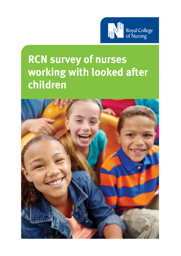

# **RCN survey of nurses working with looked after children**

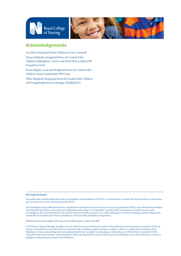

### **Acknowledgements**

Liz Allan, Designated Nurse Children in Care, Cornwall Teresa Chisholm, Designated Nurse for Looked After Children (Hillingdon), Central and North West London NHS Foundation Trust

Karen Hughes, Lead and Designated Nurse for Looked After Children, Sussex Community NHS Trust

Nikki Shepherd, Designated Nurse for Looked After Children and Young People/Service Manager, Sheffield CCG

#### **RCN Legal Disclaimer**

This publication contains information, advice and guidance to help members of the RCN. It is intended for use within the UK but readers are advised that practices may vary in each country and outside the UK.

The information in this publication has been compiled from professional sources, but its accuracy is not guaranteed. Whilst every effort has been made to ensure the RCN provides accurate and expert information and guidance, it is impossible to predict all the circumstances in which it may be used. Accordingly, to the extent permitted by law, the RCN shall not be liable to any person or entity with respect to any loss or damage caused or alleged to be caused directly or indirectly by what is contained in or left out of this information and guidance.

Published by the Royal College of Nursing, 20 Cavendish Square, London W1G 0RN

© 2015 Royal College of Nursing. All rights reserved. Other than as permitted by law no part of this publication may be reproduced, stored in a retrieval system, or transmitted in any form or by any means electronic, mechanical, photocopying, recording or otherwise, without prior permission of the Publishers or a licence permitting restricted copying issued by the Copyright Licensing Agency, Saffron House, 6-10 Kirby Street, London EC1N 8TS. This publication may not be lent, resold, hired out or otherwise disposed of by ways of trade in any form of binding or cover other than that in which it is published, without the prior consent of the Publishers.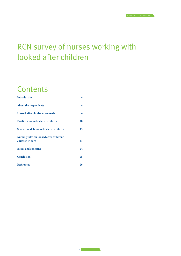## <span id="page-2-0"></span>RCN survey of nurses working with looked after children

## **Contents**

| Introduction                                                 | 4  |
|--------------------------------------------------------------|----|
| About the respondents                                        | 4  |
| Looked after children caseloads                              | 4  |
| <b>Facilities for looked after children</b>                  | 10 |
| Service models for looked after children                     | 13 |
| Nursing roles for looked after children/<br>children in care | 17 |
|                                                              |    |
| <b>Issues and concerns</b>                                   | 24 |
| <b>Conclusion</b>                                            | 25 |
| References                                                   | 26 |
|                                                              |    |

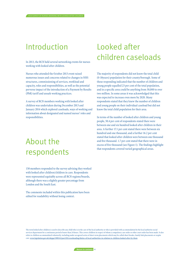## Introduction

In 2013, the RCN held several networking events for nurses working with looked after children.

<span id="page-3-0"></span>RCN survey OF nurses working with looked after children

Nurses who attended the October 2013 event raised numerous issues and concerns related to changes in NHS structures, commissioning of services, workload and capacity, roles and responsibilities, as well as the potential perverse impact of the introduction of a Payment by Results (PbR) tariff and unsafe working practices.

A survey of RCN members working with looked after children was undertaken during December 2013 and January 2014 which explored caseloads, ways of working and information about designated and named nurses' roles and responsibilities.

## About the respondents

158 members responded to the survey advising they worked with looked after children/children in care. Respondents were represented equitably across all RCN regions/boards, although there was a slightly greater percentage from London and the South East.

The comments included within this publication have been edited for readability without losing context.

## Looked after children caseloads

The majority of respondents did not know the total child (0-18years) population for their county/borough. Some of those responding indicated that the number of children and young people equalled 23 per cent of the total population, and in a specific area could be anything from 30,000 to over two million. In some areas it was acknowledged that this was expected to increase even more by 2020. Many respondents stated that they knew the number of children and young people on their individual caseload but did not know the total child population for their area.

In terms of the number of looked after children and young people, 50.4 per cent of respondents stated there were between one and six hundred looked after children in their area. A further 17.1 per cent stated there were between six hundred and one thousand, and a further 16.2 per cent stated that looked after children were between one thousand and five thousand. 1.7 per cent stated that there were in excess of five thousand (see Figure 1). The findings highlight that respondents covered varied geographical areas.

The term looked after children is used to describe any child who is in the care of the local authority or who is provided with accommodation by the local authority social services department for a continuous period of more than 24 hours. This covers children in respect of whom a compulsory care order or other court order has been made. It also refers to children accommodated voluntarily, including under an agreed series of short-term placements which may be called short breaks, family link placements or respite car[e. www.legislation.gov.uk/ukpga/1989/41/part/III/crossheading/duties-of-local-authorities-in-relation-to-children-looked-after-by-them](www.legislation.gov.uk/ukpga/1989/41/part/III/crossheading/duties-of-local-authorities-in-relation-to-children-looked-after-by-them)

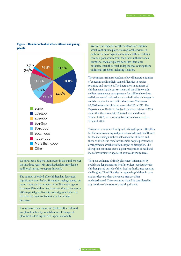#### Figure 1: Number of looked after children and young people



We have seen a 50 per cent increase in the numbers over the last three years. My organisation has provided no additional nurses to support this work.

The number of looked after children has decreased significantly over the last 18 months, seeing a month on month reduction in numbers. As of 18 months ago we have over 800 children. We have seen sharp increases in SGOs (special guardianship orders) granted which is felt to be the main contributory factor in these decreases.

It is unknown how many LAC (looked after children) are placed in the city, as notification of changes of placement ie leaving the city, is poor nationally.

We are a net importer of other authorities' children which continues to place stress on local services. In addition to this a significant number of these children receive a poor service from their local authority and a number of them are placed back into their local authority when they reach independence causing them additional problems including isolation.

The comments from respondents above illustrate a number of concerns and highlight some difficulties in service planning and provision. The fluctuation in numbers of children entering the care system and the shift towards swifter permanency arrangements for children have been well documented nationally and are indicative of changes in social care practice and political response. There were 92,000 looked after children across the UK in 2013. The Department of Health in England statistical release of 2013 states that there were 68,110 looked after children at 31 March 2013; an increase of two per cent compared to 31 March 2012.

Variances in numbers locally and nationally pose difficulties for the commissioning and provision of adequate health care for the increasing numbers of looked after children and those children who remain vulnerable despite permanency arrangements, which are often subject to disruption. The disruption continues due to a poor recognition of need and lack of investment in specialist services in many areas.

The poor exchange of timely placement information by social care departments to health services, particularly for children placed outside of their local authority area remains challenging. The difficulties in supporting children in care and care leavers when they move area are often underestimated. These concerns should be considered in any revision of the statutory health guidance.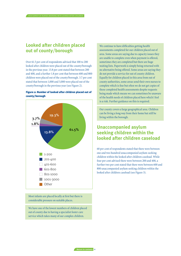### **Looked after children placed out of county/borough**

RCN survey OF nurses working with looked after children

Over 61.5 per cent of respondents advised that 100 to 200 looked after children were placed out of the county/borough in the previous year. 13.8 per cent stated that between 200 and 400, and a further 1.8 per cent that between 600 and 800 children were placed out of the county/borough. 3.7 per cent stated that between 1,000 and 3,000 were placed out of the county/borough in the previous year (see Figure 2).

#### Figure 2: Number of looked after children placed out of county/borough



Most infants are placed locally at first but there is considerable pressure on suitable places.

We have one of the lowest numbers of children placed out of county due to having a specialist foster care service which takes many of our complex children.

We continue to have difficulties getting health assessments completed for our children placed out of area. Some areas are saying due to capacity issues they are unable to complete even when payment is offered, sometimes they are completed but there are huge waiting lists. Paperwork is simply being returned with no alternative being offered. Some areas are saying they do not provide a service for out of county children. Equally for children placed in this area from out of county authorities, some areas send their own nurses to complete which is fine but often we do not get copies of these completed health assessments despite requests being made which means we can sometimes be unaware of the health needs of children placed here which I feel is a risk. Further guidance on this is required.

Our county covers a large geographical area. Children can be living a long way from their home but still be living within the borough.

### **Unaccompanied asylum seeking children within the looked after children caseload**

68 per cent of respondents stated that there were between one and two hundred unaccompanied asylum-seeking children within the looked after children caseload. While four per cent advised there were between 200 and 400, a further two per cent stated that there were between 600 and 800 unaccompanied asylum seeking children within the looked after children caseload (see Figure 3).

**6 [Return to contents](#page-2-0)**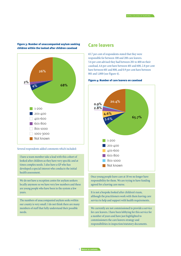

#### Figure 3: Number of unaccompanied asylum seeking children within the looked after children caseload

#### Several respondents added comments which included:

I have a team member take a lead with this cohort of looked after children as they have very specific and at times complex needs. I also have a GP who has developed a special interest who conducts the initial health assessment.

We do not have a reception centre for asylum seekers locally anymore so we have very low numbers and these are young people who have been in the system a few years.

The numbers of unaccompanied asylum seeks within our county is very small. I do not think there are many members of staff that fully understand their possible needs.

#### **Care leavers**

65.7 per cent of respondents stated that they were responsible for between 100 and 200 care leavers. 5.6 per cent advised they had between 201 to 400 on their caseload, 4.6 per cent have between 401 and 600, 2.8 per cent have between 601 and 800, and 0.9 per cent have between 801 and 1,000 (see Figure 4).

#### Figure 4: Number of care leavers on caseload



Once young people leave care at 18 we no longer have responsibility for them. We are trying to have funding agreed for a leaving care nurse.

It is not a bespoke looked after children's team, although the practitioners work with them leaving care service to help and support with health requirements.

We currently are not commissioned to provide a service for care leavers. I have been lobbying for this service for a number of years and have just highlighted to commissioners the care leavers strategy and responsibilities in inspection/statutory documents.

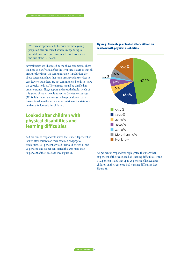We currently provide a full service for those young people on care orders but service is expanding to facilitate a service provision for all care leavers under the care of the 16+ team.

Several issues are illustrated by the above comments. There is a need to clarify and define the term care leavers so that all areas are looking at the same age range. In addition, the above statements show that some areas provide services to care leavers, but others are not commissioned or do not have the capacity to do so. These issues should be clarified in order to standardise, support and meet the health needs of this group of young people as per the *Care leaver strategy* (2013). It is important to ensure that provision for care leavers is fed into the forthcoming revision of the statutory guidance for looked after children.

### **Looked after children with physical disabilities and learning difficulties**

47.4 per cent of respondents stated that under 10 per cent of looked after children on their caseload had physical disabilities. 18.1 per cent advised this was between 11 and 20 per cent, and six per cent stated this was more than 50 per cent of their caseload (see Figure 5).

#### Figure 5: Percentage of looked after children on caseload with physical disabilities



4.4 per cent of respondents highlighted that more than 50 per cent of their caseload had learning difficulties, while 44.2 per cent stated that up to 20 per cent of looked after children on their caseload had learning difficulties (see Figure 6).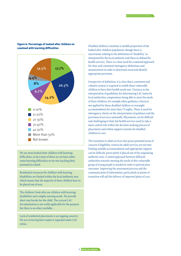

#### Figure 6: Percentage of looked after children on caseload with learning difficulties

We see more looked after children with learning difficulties, in fact most of those we see have either some learning difficulties or are not reaching their potential in school.

Residential resources for children with learning disabilities are limited within the local authority area which means that the majority of these children have to be placed out of area.

The children I look after are children with learning disabilities and complex nursing needs. We provide short stay breaks for the child. The current LAC documentation is not really applicable for the purpose but there is no other available…

Lack of residential placements is an ongoing concern. We are reviewing how respite is regarded under LAC status.

Disabled children constitute a notable proportion of the looked after children population, though there is uncertainty relating to the definitions of 'disability' as interpreted by the local authority and those as defined by health services. There is a clear need for a national approach for clear and consistent interagency definitions and measurement in order to determine need and identify appropriate provision.

Irrespective of definition, it is clear that a consistent and cohesive system is required to enable these vulnerable children to have their health needs met. Variance in the interpretation of guidelines for determining LAC status by local authorities compromises being able to meet the needs of these children, for example when guidance criteria is not applied for those disabled children in overnight accommodation for more than 75 nights. There is need for interagency clarity on the interpretation of guidance and the provision of services nationally. Placements can be difficult and challenging to find, but health services need to take a more central role within the decision-making process of placements and within support systems for disabled children in care.

The transition to adult services also poses potential areas of concern if eligibility criteria for adult services are not met. Finding suitable accommodation and appropriate support can be difficult, particularly if placed out of the originating authority area. A united approach between different authorities towards meeting the needs of this vulnerable group of young people is needed in order to prevent poor outcomes. Improving the assessment process and the communication of information, particularly at points of transition will aid the delivery of improved plans of care.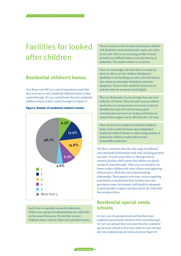## Facilities for looked after children

<span id="page-9-0"></span>RCN survey OF nurses working with looked after children

## **Residential children's homes**

Over 90 per cent (90.7 per cent) of respondents stated that there were two or more residential children's homes in their county/borough. 48.1 per cent had more than five residential children's homes in their county/borough (see Figure 7).



Figure 7: Number of residential children's homes

Each of our six specialist nurses for looked after children has a group of residential homes for which they are the named link nurse. We also have a secure children's home, with two whole time equivalent nurses. There is a mixture of local authority homes for children with disabilities (most beds provide respite care) and a secure unit. There is an increasing number of small privately run children's homes across the three local authorities. The number of these is of concern.

There are not enough, and those that are around are often not able to care for children with physical disabilities as the buildings are often converted houses that cannot accommodate wheelchairs and other equipment. They are often staffed by inexperienced staff who often do not speak much English.

They are all privately run, we no longer have any local authority run homes. These do tend to pop up without much notice or communication so as soon as they are identified my team will visit and ensure good communication processes are in place and homes are aware of what support can be offered by the LAC team.

There are fewer local authority residential children's homes in the county but many more independent residential children's homes in which a large number of looked after children are placed by external (responsible) authorities.

The above comments show the wide range of residential units that health professionals work with, including privately run units. In some areas, there is a shortage of local authority facilities which means that children are placed outside of county/borough. Other areas use privately run homes to place children with some of these units appearing without notice, which does not aid good working relationships. There appears to be some concern regarding some homes as standardised basic facilities may raise governance issues, for example, staff should be adequately trained and able to support and advocate for the child while they are placed there.

### **Residential special needs schools**

62.2 per cent of respondents advised that there were residential special needs schools in their county/borough. 14.5 per cent advised there were more than five residential special needs schools in their area, while 36.2 per cent had only one residential special needs school (see Figure 8).

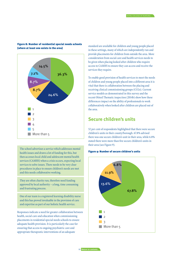#### Figure 8: Number of residential special needs schools (where at least one exists in the area)



The school advertises a service which addresses mental health issues and draws a lot of funding for this, but then accesses local child and adolescent mental health services (CAMHS) when a crisis occurs, expecting local services to solve issues. There needs to be very clear procedures in place to ensure children's needs are met and this needs collaborative working.

They are often charity run, therefore need funding approved by local authority – a long, time consuming and frustrating process.

One of our team is a registered learning disability nurse and this has proved invaluable in the provision of care and expertise as part of our holistic health service.

Responses indicate a need for greater collaboration between health, social care and education when commissioning placements in residential special needs schools to ensure adequate health provision. It is particularly the case for ensuring that access to ongoing psychiatric care and appropriate therapeutic interventions of an adequate

standard are available for children and young people placed in these settings, many of which are independently run and provide placements for children from outside the area. More consideration from social care and health services needs to be given when placing looked after children who require access to CAMHS to ensure they can access and receive the services they require.

To enable good provision of health services to meet the needs of children and young people placed into a different area it is vital that there is collaboration between the placing and receiving clinical commissioning groups (CCGs). Current service models as demonstrated in this survey and the recent Ofsted Thematic inspection (2014b) show how these differences impact on the ability of professionals to work collaboratively when looked after children are placed out of the area.

### **Secure children's units**

52 per cent of respondents highlighted that there were secure children's units in their county/borough. 67.8% advised there was one secure children's unit in their area, while 6.8% stated there were more than five secure children's units in their area (see Figure 9).

#### Figure 9: Number of secure children's units

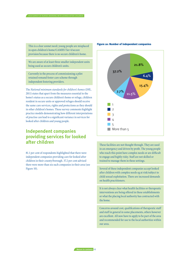This is a clear unmet need; young people are misplaced in open children's home/CAMHS Tier 4/secure provision because there is no secure children's home.

We are aware of at least three smaller independent units being used as secure children's units.

Currently in the process of commissioning a pilot retained remand foster care scheme through independent fostering providers.

The *National minimum standards for children's homes* (DfE, 2011) states that apart from the measures essential to the home's status as a secure children's home or refuge, children resident in secure units or approved refuges should receive the same care services, rights and protections as they should in other children's homes. These survey comments highlight practice models demonstrating how different interpretations of practise can lead to a significant variance in services for looked after children and young people.

## **Independent companies providing services for looked after children**

81.1 per cent of respondents highlighted that there were independent companies providing care for looked after children in their county/borough. 37.2 per cent advised there were more than six such companies in their area (see Figure 10).

## Figure 10: Number of independent companies



These facilities are not thought through. They are used in an emergency and driven by profit. The young people who reach this point have complex needs or are difficult to engage and highly risky. Staff are not skilled or trained to manage them in these settings.

Several of these independent companies accept looked after children with complex needs eg at risk/subject to child sexual exploitation. There are increased demands on health practitioners.

It is not always clear what health facilities or therapeutic interventions are being offered in these establishments or what the placing local authority has contracted with the home.

Concerns around cost, qualifications of therapeutic staff and staff in general in some placements, others however are excellent. All now have to apply to be part of the area and recommended for use to the local authorities within our area.

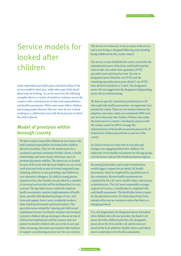## <span id="page-12-0"></span>Service models for looked after children

Some respondents provided quite a detailed outline of the service model in their area, while others gave little detail about ways of working. As can be seen from the following examples there is a variety of models in existence across the country, with a mixed picture of roles and responsibilities and health assessments. While some teams follow children and young people wherever they are, most do not, instead working in a collaborative way with the local team in which the child is placed.

## **Model of provision within borough/county**

We have a team of specialist children in care nurses who hold caseload responsibility for looked after children placed in localities. They are the named nurse for a caseload to promote continuity for their clients, to build relationships and work closely with foster carers to promote placement stability. The nurses are co-located for part of the week with the local children in care social work team and work as part of virtual integrated team including children in care psychology and children in care education colleagues. If a child or young person requests to have their health care provided by a member of universal services this will be facilitated but it is very unusual. The specialist nurses undertake statutory health assessments, monitor implementation of health plans, provide individualised packages of care, and train and support foster carers, residential workers, other health professionals and social workers. The specialist nurses attend the 'missing and child sexual exploitation forums' (to identify and plan interventions to protect children who go missing or who are at risk of child sexual exploitation) and the resource and care panels (to identify children who are at risk of care and either encourage alternative preventative interventions or support care planning at entry into the care system).

The service is in disarray: it was a county-wide service and is now being re-designed following some funding being withdrawn by the county council.

The service is now funded by the county council for the administration part of the team, and health fund the clinical side. One whole time equivalent (WTE) specialist nurse post has been lost. My role as designated nurse (Band 8a, one WTE) and the remaining specialist nurse posts (Band 7, one WTE) were all down-banded to a 7 and 6. The designated nurse role was tagged onto the designated safeguarding nurse role in commissioning.

We have no specific community paediatrician or GP who undertake health assessments. Arrangements vary around the county. There are two medical advisers for adoption: one comes under our community NHS trust, one sits in the acute side. Neither of them come under the team/service's control. I developed a process with the county council in 2010 to arrange the administration of the health assessment process for all looked after children placed both in and out of the county.

As clinical nurses we work with 16 year plus and younger non-engaging looked after children. We undertake review health assessments for this age group, visit the homes and provide health promotion support.

Becoming looked after, and receipt of notification, would trigger a request for an initial LAC health assessment, which is completed by a paediatrician in the community. Review health assessments are completed by the LAC nurse, health visitor, school nurse or paediatrician. The LAC nurse responsible arranges requests for reviews. A health plan is completed with each health assessment. The health plan forms a report for the placement review. For those placed here from outside of the area we continue as above but there is a charging protocol.

It is a bit fragmented, the designated doctor for looked after children sits with one provider, the Band 6 LAC nurse sits with a different provider, the designated nurse sits in the CCG and the LAC admin team are based in the local authority. Health visitors and school nurses undertake review health assessments.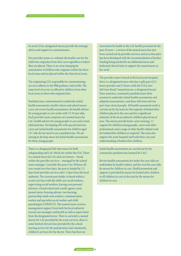In seven CCGs, designated nurses provide the strategic advice and support to commissioners.

Five provider teams co-ordinate the health care for the child who originates from their area regardless of where they are placed. There is no cross charging for assessments of children who originate within the three local areas and are placed within the three local areas.

The originating CCG responsible for commissioning services adheres to the PbR guidance and tariffs. The same level of service is offered to children from other local areas as those who originate here.

Paediatricians commissioned to undertake initial health assessments, health visitors and school nurses carry out review health assessments, the health adviser for young people in care works with 15-19 year olds. Each provider team comprises of a named nurse for LAC, health adviser for young people in care and a team administrator. Developing GPs with special interests carry out initial health assessments for children aged 13+ who do not need to see a paediatrician. We are aiming to develop nurse-led initial health assessments for these young people.

There is a designated full-time nurse for both safeguarding and LAC which sits within the CCG. There is a named nurse for LAC and care leavers – based within the provider services – managed by the school nurse manager. Currently this post is for 30 hours all year round over four days, the post is funded by 2.5 days from provider services and 1.5 days from the local authority. The current post holder is based within a social care base with the child care social workers, supervising social workers, leaving care personal advisers, virtual school and a multi-agency team named nurse, housing adviser, two learning partnership south-west workers, communication worker and specialist social worker and child psychologist (CONSULT). The named nurse receives management support from both the local authority (social care manager) and health as well as supervision from the designated nurse. There is currently a named doctor for LAC provided by the acute services, there is some limited clerical time provided by the school nursing service for the named nurse and community children's services for the doctor. There has been no

investment by health to the LAC health provision for the past 10 years – a review of the named nurse has just been carried out by provider services and an action plan has been developed with the recommendation of further funding being needed for an additional nurse and dedicated clerical time to support the named nurse in her work.

The provider team is based at the local acute hospital, there is a designated nurse who has a split post (22.5 hours provider and 15 hours with the CCG), four full-time Band 7 named nurses, a designated doctor (four sessions), community paediatricians (four sessions to undertake initial health assessments and adoption assessments), and three full-time and two part-time clerical people. All health assessment work is carried out by the team for the majority of looked after children placed in the area and for a significant minority of the local authority children placed out of area. The nurses provide foster carer training, 1:1 support for children/young people, carers and other professionals and a range of other health-related work for looked after children as required. The team also support the acute hospital staff with their care and understanding of looked after children.

Initial health assessments are carried out by the community paediatrician (named for LAC).

Review health assessments for under five year olds are undertaken by health visitors, and for over five year olds by nurses for children in care. Health promotion and support is provided by nurses for looked after children to all children in care in the area by the nurses for children in care.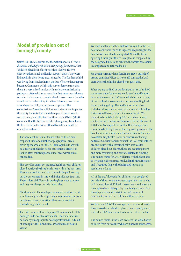### **Model of provision out of borough/county**

Ofsted (2014) state within the thematic inspection *From a distance: looked after children living away from home*, that 'children placed out of area were less likely to receive effective educational and health support than if they were living within their home area, or nearby. The further a child was living from his/her home, the less effective that support became'. Comments within this survey demonstrate that there is a very mixed service with unclear commissioning pathways, often with an expectation that some practitioners travel vast distances to complete health assessments but who would not have the ability to deliver follow up care in the area where the child/young person is placed. The commissioner/provider split has had a significant impact on the ability for looked after children placed out of area to receive timely and effective health services. Ofsted (2014) comment that the further a child is living away from home the less likely that services offered from home could be offered or sustained.

The specialist nurses for looked after children hold responsibility for a number of geographical areas covering the whole of the UK. From April 2014 we will be undertaking health needs assessments (HNAs) of looked after children placed out of area within an 80 mile radius.

Five provider teams co-ordinate health care for children placed outside the three local areas within the host area. Host areas are informed that they will be paid to carry out the assessment in line with PbR guidance & tariffs. There is lots of difficulty in getting host areas to agree, and they are always outside timescales.

Children's out of borough placements are authorised at a multiagency panel comprising of representatives from health, social and education. Placements are joint funded as agreed at panel.

The LAC nurse will travel approx 20 miles outside of the borough to do health assessments. The remainder will be done by an appropriate health professional – GP, out of borough (OOB) LAC nurse, school nurse or health visitor.

We send a letter with the child's details on it to the LAC health team where the child is placed requesting for the health assessment to be completed. When the form agreeing funding for this to take place is completed by the designated nurse and sent off, the health assessment is completed and returned to us.

We do not currently have funding to travel outside of area to complete RHA's so we would contact the LAC team where the child is placed to request this.

When we are notified by our local authority of an LAC movement out of county we would send a notification letter to the receiving LAC team which includes a copy of the last health assessment so any outstanding health issues are flagged up. The notification letter also includes information on any risk factors ie if child has history of self harm, frequent absconding etc. We request to be notified of any A&E attendances. Any invites for LAC reviews are forwarded to the placement LAC team. We request the local authority copies any minutes to both my team as the originating area and the host team, so we can review these and ensure there are no outstanding health issues or concerns not being addressed. Social workers contact the LAC team if there are any issues with accessing health services for children placed out of area, these are occurring more and more frequently and barriers related to funding. The named nurse for LAC will liaise with the host area to try and get these issues resolved in the first instance and if required flag to the designated nurse if no resolution is found.

All of the area's looked after children who are placed outside of the area are allocated a specialist nurse who will request the child's health assessment and ensure it is completed to a high quality in a timely manner. Even though placed out of district the LAC nurse will continue to oversee the child's health needs/plan.

We have one 0.6 WTE nurse specialist who works with those looked after children placed in our county on an individual SLA basis, which is how the role is funded.

The named nurse in the team oversees the looked after children from our county who are placed in other areas.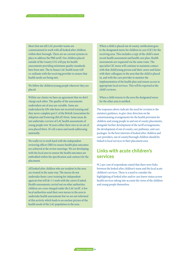Most (but not all) LAC provider teams are commissioned to work with all looked after children within their borough. There are no current systems in place to address the PbR tariff. Our children placed outside of the County CCG will pay for health assessments providing minimum quality standards have been met. The in-house LAC health team will co-ordinate with the receiving provider to ensure that health needs are being met.

We follow the children/young people wherever they are placed.

Within our cluster we have an agreement that we don't charge each other. The quality of the assessments undertaken out of area are variable. Some are undertaken by GPs who have not received training and they never complete part C of the British Association for Adoption and Fostering (BAAF) form. Some areas do not undertake a review of LAC health assessments of young people over 16 years either their own or on out of area placed there. It's all a mess and needs addressing nationally.

We really try to work hard with the independent reviewing officer (IRO) to ensure health plan outcomes are achieved at the review meetings. We are developing with the local area to ensure the health outcomes are embedded within the specification and contract for the placement.

All looked after children who are resident in the area are treated in the same way. The nurses do not undertake foster carer training for independent agencies but will do 1:1 work with the carers if asked. Health assessments carried out on other authorities children are cross charged under the LAC tariff. A few local authorities send their own nurses to the area to undertake health assessments but we are not informed of this activity which leads to an unclear picture of the health needs of the LAC population in the area.

When a child is placed out of county, notification goes to the designated nurse for children in care (CIC) for the receiving area. This includes a copy of the child's most recent health assessment and health care plan. Health assessments are requested via the same route. The specialist CIC nurse will continue to maintain contact with that child/young person and their carers and liaise with their colleagues in the area that the child is placed in, and with the care provider to monitor the implementation of the health plan and ensure access to appropriate local services. This will be reported at the child's reviews.

When a child returns to the area the designated nurse for the other area is notified.

The responses above indicate the need for revision to the statutory guidance, to give clear direction on the commissioning arrangements for the health provision for children and young people in and out of county placements, alongside further development of the tariff arrangements, the development of out of county care pathways, and care packages. In the best interests of looked after children and care providers, out of county/borough children should be linked to local services in their placement area.

### **Links with acute children's services**

91.2 per cent of respondents stated that there were links between the looked after children's team and the local acute children's services. There is a need to consider the highlighting of looked after and/or care leaver status across health services taking into account the views of the children and young people themselves.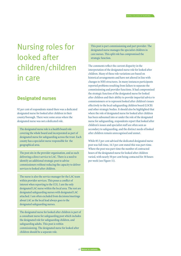## <span id="page-16-0"></span>Nursing roles for looked after children/children in care

### **Designated nurses**

92 per cent of respondents stated there was a dedicated designated nurse for looked after children in their county/borough. There were some areas where the designated nurse was not a dedicated role.

The designated nurse role is a health board role covering the whole board and incorporated as part of designated nurse for safeguarding across the trust. Each county has a specialist nurse responsible for the geographical area.

The post sits in the provider organisation, and as such delivering a direct service to LAC. There is a need to identify an additional strategic post to advise commissioners without reducing the capacity to deliver services to looked after children.

The nurse is also the service manager for the LAC team within provider services. This poses a conflict of interest when reporting to the CCG. I am the only designated LAC nurse within the local area. The rest are designated safeguarding nurses with designated LAC attached. I am often excluded from decisions/meetings about LAC as the local lead always goes to the designated safeguarding nurses.

The designated nurse for looked after children is part of a consultant nurse for safeguarding post which includes the designated role for safeguarding children, and safeguarding adults. This post is within commissioning. The designated nurse for looked after children should be a separate role.

This post is part commissioning and part provider. The designated nurse manages the specialist children in care nurses. This split role has compromised the strategic function.

The comments reflect the current disparity in the interpretation of the designated nurse role for looked after children. Many of these role variations are based on historical arrangements and have not altered in line with changes to NHS structures. In many instances participants reported problems resulting from failure to separate the commissioning and provider functions. It had compromised the strategic function of the designated nurse for looked after children and their ability to provide impartial advice to commissioners or to represent looked after children's issues effectively to the local safeguarding children board (LSCB) and other strategic bodies. It should also be highlighted that where the role of designated nurse for looked after children has been subsumed into or under the role of the designated nurse for safeguarding, respondents report that looked after children's issues and specialist staff are often seen as secondary to safeguarding, and the distinct needs of looked after children remain unrecognised and unmet.

While 85.5 per cent advised the dedicated designated nurse post was full-time, 14.5 per cent stated this was part-time. Where the post was part-time the number of contracted hours of the designated nurse for looked after children varied, with nearly 50 per cent being contacted for 30 hours per week (see Figure 11).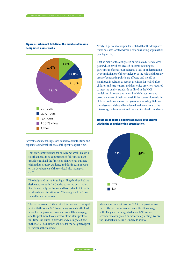

#### Figure 11: When not full-time, the number of hours a designated nurse works

Several respondents expressed concern about the time and capacity to undertake the role if the post was part-time.

I am only commissioned for one day per week. This is a role that needs to be commissioned full-time as I am unable to fulfil all the functions of my role as outlined within the statutory guidance and this in turn impacts on the development of the service. I also manage 11 staff.

The designated nurse for safeguarding children had the designated nurse for LAC added to her job description. She did not apply for the job and has had to fit it in with an already busy full-time job. The designated LAC post should be a separate role.

There are currently 15 hours for this post and it is a split post with the other 22.5 hours being worked as the lead nurse for the provider. However this will be changing and the post moved to create two stand alone posts: a full-time lead nurse in provider and a designated post in the CCG. The number of hours for the designated post is unclear at the moment.

Nearly 60 per cent of respondents stated that the designated nurse post was located within a commissioning organisation (see Figure 12).

That so many of the designated nurse looked after children posts which have been created in commissioning are part-time is of concern. It indicates a lack of understanding by commissioners of the complexity of the role and the many areas of contracting which are affected and should be monitored in relation to service provision for looked after children and care leavers, and the service provision required to meet the quality standards outlined in the NICE guidelines. A greater awareness by chief executives and board members of their responsibilities towards looked after children and care leavers may go some way to highlighting these issues and should be reflected in the revisions to the intercollegiate framework and the statutory health guidance.

#### Figure 12: Is there a designated nurse post sitting within the commissioning organisation?



My one day per week is on an SLA to the provider arm. Currently the commissioners are difficult to engage with. They see the designated nurse LAC role as secondary to designated nurse for safeguarding. We are the Cinderella nurse in a Cinderella service.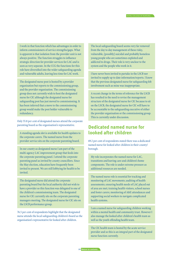I work in that function which has advantages in order to inform commissioners of service strengths/gaps. What is apparent is that isolation from the provider unit is not always positive. The function struggles to influence strategic direction for provider services for LAC and is seen as very separate. In the CCG the functions for this role have diversified into the wider safeguarding agenda and vulnerable adults, leaving less time for LAC work.

The designated nurse post is hosted by a provider organisation but reports to the commissioning group, and the provider organisation. The commissioning group does not currently wish to host the designated nurse for CIC although the designated nurse for safeguarding post has just moved to commissioning. It has been inferred that a move to the commissioning group would make the post holder vulnerable to redundancy.

Only 55.8 per cent of designated nurses attend the corporate parenting board as the organisation's representative.

A standing agenda slot is available for health updates to the corporate carers. The named nurse from the provider service sits on the corporate parenting board.

In our county as designated nurse I am part of the multi-agency LAC improvement group that feeds into the corporate parenting panel. I attend the corporate parenting panel as invited by county councillors. Since the May election, education have frequently been invited to present. We are still lobbying for health to be invited.

The designated nurse did attend the corporate parenting board but the local authority did not wish to have a provider so this function was delegated to one of the children's commissioning team. The designated nurse for CIC currently sits on the corporate parenting managers meeting. The designated nurse for CIC sits on the LSCB performance group.

76.5 per cent of respondents highlight that the designated nurse attends the local safeguarding children's board as the organisation's representative for looked after children.

The local safeguarding board seems very far removed from the day to day management of these risky, vulnerable, [possibly] suicidal and probably homeless young people who are sometimes exploited and addicted to drugs. Their role is very unclear to the system and the people who work in it.

I have never been invited to partake in the LSCB nor invited to supply up to date information/reports. I know that the previous designated nurse for safeguarding felt involvement such as mine was inappropriate.

A recent change in the terms of reference for the LSCB has resulted in the need to revise the management structure of the designated nurse for CIC because to sit on the LSCB, the designated nurse for CIC will have to be accountable to the safeguarding executive of either the provider organisation or the commissioning group. This is currently under discussion.

### **Dedicated named nurse for looked after children**

69.2 per cent of respondents stated there was a dedicated named nurse for looked after children in their county/ borough.

My role incorporates the named nurse for LAC, transitions and leaving care and children's home components. The role is under extreme pressure as additional resources are needed.

The named nurse role is essential for tracking and monitoring of LAC movements; auditing of health assessments; ensuring health needs of LAC placed out of area are met; training health visitors, school nurses and foster carers; monitoring of A&E attendances and supporting social workers to navigate complicated health systems.

I am a named nurse for safeguarding children working within a mental health and community trust. However I also manage the looked after children's health team as well as the youth offending health team.

The CIC health team is hosted by the acute service provider and so this is an integral part of the designated nurse function currently.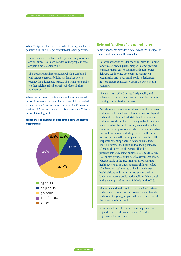While 82.3 per cent advised the dedicated designated nurse post was full-time, 17.7 per cent stated this was part-time.

RCN survey OF nurses working with looked after children

Named nurses in each of the five provider organisations are full-time. Health advisers for young people in care are part-time 0.6 or 0.8 WTE.

This post carries a large caseload which is combined with strategic responsibilities (as there has been a vacancy for a designated nurse). This is not comparable to other neighbouring boroughs who have similar numbers of LAC.

Where the post was part-time the number of contracted hours of the named nurse for looked after children varied, with just over 40 per cent being contacted for 30 hours per week and 8.3 per cent indicating this was for only 7.5 hours per week (see Figure 13).

#### Figure 13: The number of part-time hours the named nurse works



#### Role and function of the named nurse

Some respondents provided a detailed outline in respect of the role and function of the named nurse.

Co-ordinate health care for the child, provide training for own staff and, in partnership with other provider teams, for foster carers. Monitor and audit service delivery. Lead service development within own organisation and in partnership with a designated nurse to ensure consistency across the whole health economy.

Manage a team of LAC nurses. Design policy and enhance standards. Undertake health reviews. Advice, training, immunisation and research.

Provide a comprehensive health service to looked after children and to care leavers. Promote positive physical and emotional health. Undertake health assessments of children looked after both in county and out of county where possible. Facilitate training courses for foster carers and other professionals about the health needs of LAC and care leavers including sexual health. Is the medical adviser to the foster panel. Is a member of the corporate parenting board. Attends skills to foster course. Promotes the health and wellbeing of looked after and children care leavers to all health professionals and a wider audience. Attends the area's LAC nurses group. Monitor health assessments of LAC placed outside of the area, monitor SDQs, delegate health reviews to be undertaken for children looked after by other local areas to trained school nurses/ health visitors and audits these to ensure quality. Undertake internal audits, write policies. Work closely with the designated nurse for LAC within the CCG.

Monitor mental health and risk. Attend LAC reviews and update all professionals involved. Is an advocate and a voice for young people. Is the core contact for all the professionals involved.

It is a new role so is being developed at present but supports the lead/designated nurse. Provides supervision for LAC nurses.

**20 [Return to contents](#page-2-0)**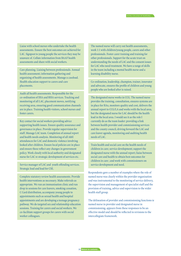Liaise with school nurses who undertake the health assessments. Ensure the best outcomes are achieved for LAC. Signpost to young people the services they may be unaware of. Collate information from BAAF health assessments and share with social workers.

Care planning. Liaising between professionals. Annual health assessment; information gathering and organising of health assessments. Manage a caseload. Health education support to carers and care placements.

Audit all health assessments. Responsible for the co-ordination of IHA and RHA services. Tracking and monitoring of all LAC, placement moves, notifying receiving area, ensuring good communication channels are in place. Training health visitors, school nurses and foster carers.

Key contact for social workers providing advice supporting health issues. Ensure quality assurance and governance in place. Provide regular supervision for staff. Manage LAC team. Completion of annual report and health needs analysis. Monitoring of all A&E attendances for LAC and domestic violence involving looked after children. Ensure local policies are in place and ensure these reflect any changes in government policy. Work closely with local authority and designated nurse for LAC re strategic development of services etc.

Service manager of LAC and youth offending services. Strategic lead and lead for CSE.

Complete statutory review health assessments. Provide health interventions as necessary. Make referrals as appropriate. We run an immunisation clinic and run drop in sessions for care leavers, smoking cessation, C Card distribution, accompany young people to appointments such as sexual health and hospital appointments and are developing a teenage pregnancy pathway. We do targeted sex and relationship education sessions. Training for carers and social workers. We co-facilitate support groups for carers with social worker colleagues.

The named nurse will carry out health assessments, work 1:1 with children/young people, carers and other professionals. Foster carer training and training for other professionals. Support for the acute trust on understanding the needs of LAC and the consent issues for LAC who need treatment. We have a range of skills in the team including a mental health nurse and a learning disability nurse.

Co-ordination, leadership, champion, trainer, innovator and advocate, ensures the profile of children and young people who are looked after is raised.

The designated nurse works in CCG. The named nurse provides the training, consultation, ensures systems are in place for HAs, monitors quality and cost, delivers the annual report to CCG/LA and works with the local area, but the designated nurse for LAC should be the health lead in the local area. I would see it as the role I currently do as the team leader: providing a link between health provider and commissioning services and the county council, driving forward the LAC and care leaver agenda, monitoring and auditing health needs of LAC.

Train health and social care on the health needs of children in care; service development; support the designated nurse with the annual report; liaise between social care and health to obtain best outcomes for children in care ; and work with commissioners on service development and need.

Respondents gave a number of examples where the role of named nurse was clearly within the provider organisation and was instrumental to the monitoring of service delivery, the supervision and management of specialist staff and the provision of training, advice and supervision to the wider health staff group.

The delineation of provider and commissioning functions ie named nurse in provider and designated nurse in commissioning, appears from these responses to be an effective model and should be reflected in revisions to the intercollegiate framework.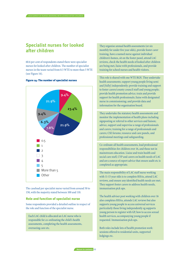## **Specialist nurses for looked after children**

60.6 per cent of respondents stated there were specialist nurses for looked after children. The number of specialist nurses in the team varied from 0.5 WTE to more than 5 WTE (see Figure 14).



Figure 14: The number of specialist nurses

The caseload per specialist nurse varied from around 50 to 150, with the majority stated between 100 and 110.

#### Role and function of specialist nurse

Some respondents provided a detailed outline in respect of the role and function of the specialist nurse.

Each LAC child is allocated an LAC nurse who is responsible for co-ordinating the child's health assessments, completing the health assessments, overseeing care etc.

They organise annual health assessments (or six monthly for under five year olds), provide foster carer training, have a named nurse against individual children's homes, sit on the foster panel, attend LAC reviews, check the health needs of looked after children are being met, liaise with professionals, and provide training for school nurses and health visitors.

This role is shared with one WTE RGN. They undertake health assessments; support young people living semi and [fully] independently; provide training and support to foster carers/county council staff and young people; provide health promotion advice; train and provide support for health professionals; liaise with designated nurse in commissioning; and provide data and information for the organisation board.

They undertake the statutory health assessments and monitor the implementation of health plans including signposting or referral to other services and liaison; advice, support and supervise a range of professionals and carers; training for a range of professionals and carers; CSE forums; resource and care panels, and professional meetings and safeguarding.

Co-ordinate all health assessments, lead professional responsibilities for children over 16, and those not in mainstream education. Liaise and train health and social care staff, CYP and carers on health needs of LAC and are a source of expert advice that ensure audit etc is completed as appropriate.

The main responsibility of LAC staff nurse working with 11-15 year olds is to complete RHAs, attend LAC reviews, and ensure any identified health needs are met. They support foster carers to address health needs, immunisation pick ups.

The health adviser post working with children over 16 also completes RHAs, attends LAC reviews but also supports young people to access universal services particularly those living independently eg supports young person to register with GP, how to access sexual health services, accompanying young people if requested. Immunisation pick ups.

Both roles include lots of health promotion work: sessions offered to residential units, supported lodgings etc.

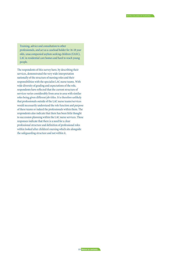Training, advice and consultation to other professionals, and act as a caseload holder for 16-18 year olds, unaccompanied asylum seeking children (UASC), LAC in residential care homes and hard to reach young people.

The respondents of this survey have, by describing their services, demonstrated the very wide interpretation nationally of the structure of nursing roles and their responsibilities with the specialist LAC nurse teams. With wide diversity of grading and expectations of the role, respondents have reflected that the current structure of services varies considerably from area to area with similar roles being given different job titles. It is therefore unlikely that professionals outside of the LAC nurse teams/services would necessarily understand the role function and purpose of these teams or indeed the professionals within them. The respondents also indicate that there has been little thought to succession planning within the LAC nurse services. These responses indicate that there is a need for a clear professional structure and definition of professional roles within looked after children's nursing which sits alongside the safeguarding structure and not within it.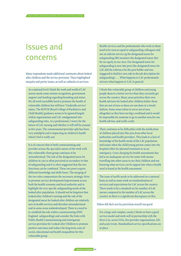## Issues and concerns

Many respondents made additional comments about looked after children and the service provision. These highlighted inequity and parity issues, as well as cutbacks in services.

<span id="page-23-0"></span>RCN survey OF nurses working with looked after children

At a national level I think the work and world of LAC nurses needs some serious recognition, government support and funding regarding branding and status. We all work incredibly hard to promote the health of vulnerable children but still have 'Cinderella service' status. The RCPCH [Royal College of Paediatrics and Child Health] guidance seems to be ignored largely within organisations and LAC amalgamated into safeguarding roles. As a professional, I worry for the future of LAC nursing and whether it will still be around in five years. The commissioner/provider split has been very unhelpful and is impacting on children's health which I feel is really sad.

It is of concern that in both commissioning and provider arenas the specialist nature of the work with this vulnerable client group continues to be misunderstood. The role of the designated nurse for children in care is often perceived as secondary to that of safeguarding and it is often suggested that the two functions can be combined. These two posts require different knowledge and skills bases. The merging of the two roles compromises the necessary strategic drive to promote service development/improvement across both the health economy and local authority and to highlight the very specific safeguarding needs of the looked after population. It should not be forgotten that looked after children's nursing and the role of the designated nurse for looked after children are relatively new in health services and therefore misunderstood and in some areas underdeveloped. There is a need to re-establish the role within commissioning (NHS England- safeguarding) and consider the links with Public Health Commissioning and reinvigorate service provision for Looked after Children to promote positive outcomes and reduce the long term costs of social, educational and health inequalities for this vulnerable group.

Health services and the professionals who work in them need to be seen as equal to safeguarding colleagues and not an inferior service eg the designated nurse for safeguarding (8b) monitors the designated nurse (8a) for no equity in our area. Our designated nurse for safeguarding is new into post (the designated nurse for LAC did the reference for the post holder and was staggered to find her own role in the job description for safeguarding)… . What happens to LAC professionals mirrors what happens to LAC in general.

I think this vulnerable group of children and young people deserve a better service than they currently get across the country. Many areas prioritise their own health advisers for looked after children before those that are out of area so these are not done in a timely fashion. Some areas refuse to serve out of area altogether as they have too big a workload and it would be impossible for someone to go to another area for one health adviser, and really costly.

There continues to be difficulties with the notification of children placed into this area from other local authorities and health providers. This leads to a lack of knowledge of the health needs of the LAC population and issues when the child/young person comes into the hospital either for planned treatment or as an emergency. Cross charging for health assessments has led to an inadequate service for some with nurses travelling into other areas to see their children and not knowing what services can be tapped into when a health need is found at the health assessment.

The issue of tariffs needs to be addressed on a national basis as well as some work on standardisation of services and expectations for LAC across the country. There needs to be a standard set for number of LAC nurses compared to the number of LAC across the country as there is a significant discrepancy in this.

Others felt their service provision overall was good.

For a large and complex county I think we have a good service model and work well in partnership with the three LAs, seven CCGs, five provider organisations, GPs and acute trusts. Standardised service specifications are in place.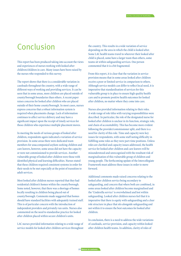## <span id="page-24-0"></span>Conclusion

This report has been produced taking into account the views and experiences of nurses working with looked after children/children in care. Many issues have been raised by the nurses who responded to this survey.

The report shows that there is a considerable variation in caseloads throughout the country, with a wide range of different ways of working and providing services. It can be seen that in some areas, more children are placed outside of county/borough boundaries than others. A recent paper raises concerns for looked after children who are placed outside of their home county/borough. In most cases, nurses express concerns that a robust information system is required when placements change. Lack of information continues to affect service delivery and may have a significant impact upon the receipt of timely services for those children who experience multiple placement moves.

In meeting the needs of various groups of looked after children, respondents again indicated a variation of service provision. In some areas there were dedicated team members for unaccompanied asylum-seeking children and care leavers, however, some areas did not have the capacity or were not commissioned to provide services. Another vulnerable group of looked after children were those with identified physical and learning difficulties. Nurses stated that these children required consistent systems in order for their needs to be met especially at the point of transition to adult services.

Most looked after children nurses reported that they had residential children's homes within the county/borough. Some noted, however, that there was a shortage of homes locally resulting in children being placed out of county/borough. Comments made suggested that homes should have standard facilities with adequately trained staff. This is of particular concern with the introduction of independent providers and privately run units. Nurses also commented on the need to standardise practice for looked after children placed within secure children's units.

LAC nurses provided information relating to a wide range of service models for looked after children services throughout

the country. This results in a wide variation of service depending on the area in which the child is looked after. Some LAC health teams travel to wherever their looked after child is placed, some have a larger team than others, some teams sit within safeguarding services. One person commented that it is a bit fragmented.

From this report, it is clear that the variation in service provision means that in some areas looked after children receive a poor or limited service in comparison to others. Although service models can differ to reflect local need, it is imperative that standardisation of services for this vulnerable group is in place to ensure high quality health care and to promote positive health outcomes for looked after children, no matter where they come into care.

Nurses also provided information relating to their roles. A wide range of role titles with varying responsibilities were described. In particular, the role of the designated nurse for looked after children is unclear in its function, strategic role, and chain of accountability. This has become more evident following the provider/commissioner split, and there is a need for clarity of this role. Time and capacity were key issues for respondents, with some staff noting difficulty in fulfilling some roles as they were part-time positions. Unless roles are clarified and capacity issues addressed, the health service for looked after children and care leavers will be misunderstood and unrecognised with the resultant risk of marginalisation of this vulnerable group of children and young people. The forthcoming update of the Intercollegiate Framework must address these issues in order to move forward.

Additional comments made raised concerns relating to the looked after children service being secondary to safeguarding, and concern that where both are combined, in some areas looked after children become marginalised and the 'Cinderella service' is overwhelmed and lost within safeguarding. Looked after children nurses feel that it is imperative that there is equity with safeguarding and a clear role structure in place that sits alongside safeguarding and not within it to ensure the best outcomes for looked after children.

In conclusion, there is a need to address the wide variations of caseloads, service provision, and capacity within looked after children health teams. In addition, clarity of roles of

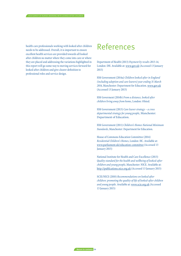<span id="page-25-0"></span>health care professionals working with looked after children needs to be addressed. Overall, it is important to ensure excellent health services are provided towards all looked after children no matter where they come into care or where they are placed and addressing the variations highlighted in this report will go some way to moving services forward for looked after children and give clearer definition to professional roles and service design.

## References

Department of Health (2013) *Payment by results 2013-14*, London: DH. Available at[: www.gov.uk \(](https://www.gov.uk/government/collections/payment-by-results-2013-14)Accessed 13 January 2015)

HM Government (2014a) *Children looked after in England (including adoption and care leavers) year ending 31 March 2014*, Manchester: Department for Education[. www.gov.uk](www.gov.uk/government/publications/children-looked-after-in-england-including-adoption) (Accessed 13 January 2015)

HM Goverment (2014b) *From a distance, looked after children living away from home*, London: Ofsted.

HM Government (2013) *Care leaver strategy – a cross departmental strategy for young people*, Manchester: Department of Education.

HM Government (2011) *Children's Homes National Minimum Standards*, Manchester: Department for Education.

House of Commons Education Committee (2014) *Residential Children's Homes*, London: HC. Available at: [www.parliament.uk/education-committee \(](www.parliament.uk/education-committee)Accessed 13 January 2015)

National Institute for Health and Care Excellence (2013) *Quality standard for the health and wellbeing of looked-after children and young people*, Manchester: NICE. Available at: [http://publications.nice.org.uk](http://publications.nice.org.uk/quality-standard-for-the-health-and-wellbeing-of-looked-after-children-and-young-people-qs31) (Accessed 13 January 2015)

SCIE/NICE (2010) *Recommendations on looked after children: promoting the quality of life of looked-after children and young people*. Available at: [www.scie.org.uk \(](www.scie.org.uk/publications/guides/guide40/recommendations/professional.asp)Accessed 13 January 2015)